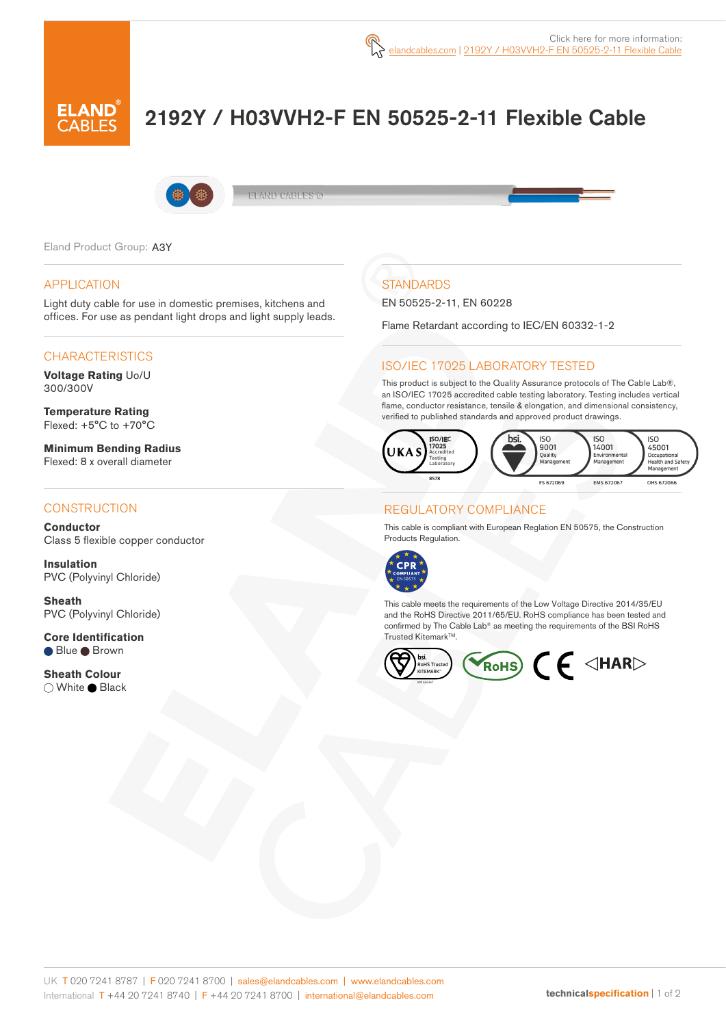

# 2192Y / H03VVH2-F EN 50525-2-11 Flexible Cable



**ELAND CABLES @** 

Eland Product Group: A3Y

#### APPLICATION

Light duty cable for use in domestic premises, kitchens and offices. For use as pendant light drops and light supply leads.

### **CHARACTERISTICS**

**Voltage Rating** Uo/U 300/300V

**Temperature Rating** Flexed: +5°C to +70°C

**Minimum Bending Radius**  Flexed: 8 x overall diameter

#### **CONSTRUCTION**

**Conductor** Class 5 flexible copper conductor

**Insulation** PVC (Polyvinyl Chloride)

**Sheath** PVC (Polyvinyl Chloride)

**Core Identification ■ Blue ■ Brown** 

**Sheath Colour** ◯ White ● Black

## **STANDARDS**

EN 50525-2-11, EN 60228

Flame Retardant according to IEC/EN 60332-1-2

#### ISO/IEC 17025 LABORATORY TESTED

This product is subject to the Quality Assurance protocols of The Cable Lab®, an ISO/IEC 17025 accredited cable testing laboratory. Testing includes vertical flame, conductor resistance, tensile & elongation, and dimensional consistency, verified to published standards and approved product drawings.



#### REGULATORY COMPLIANCE

This cable is compliant with European Reglation EN 50575, the Construction Products Regulation.



This cable meets the requirements of the Low Voltage Directive 2014/35/EU and the RoHS Directive 2011/65/EU. RoHS compliance has been tested and confirmed by The Cable Lab® as meeting the requirements of the BSI RoHS Trusted Kitemark™.